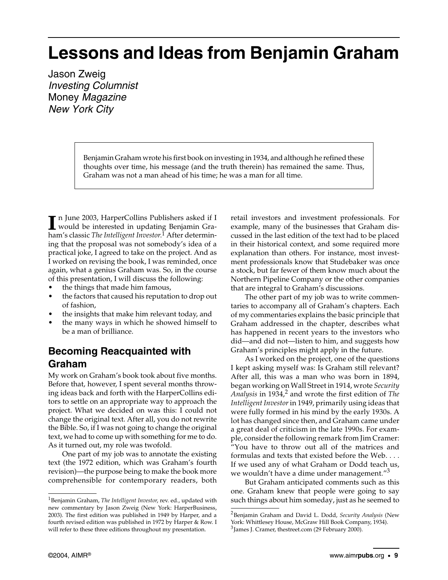## **Lessons and Ideas from Benjamin Graham**

Jason Zweig Investing Columnist Money Magazine New York City

> Benjamin Graham wrote his first book on investing in 1934, and although he refined these thoughts over time, his message (and the truth therein) has remained the same. Thus, Graham was not a man ahead of his time; he was a man for all time.

n June 2003, HarperCollins Publishers asked if I In June 2003, HarperCollins Publishers asked if I<br>would be interested in updating Benjamin Graham's classic *The Intelligent Investor*. 1 After determining that the proposal was not somebody's idea of a practical joke, I agreed to take on the project. And as I worked on revising the book, I was reminded, once again, what a genius Graham was. So, in the course of this presentation, I will discuss the following:

- the things that made him famous,
- the factors that caused his reputation to drop out of fashion,
- the insights that make him relevant today, and
- the many ways in which he showed himself to be a man of brilliance.

#### **Becoming Reacquainted with Graham**

My work on Graham's book took about five months. Before that, however, I spent several months throwing ideas back and forth with the HarperCollins editors to settle on an appropriate way to approach the project. What we decided on was this: I could not change the original text. After all, you do not rewrite the Bible. So, if I was not going to change the original text, we had to come up with something for me to do. As it turned out, my role was twofold.

One part of my job was to annotate the existing text (the 1972 edition, which was Graham's fourth revision)—the purpose being to make the book more comprehensible for contemporary readers, both retail investors and investment professionals. For example, many of the businesses that Graham discussed in the last edition of the text had to be placed in their historical context, and some required more explanation than others. For instance, most investment professionals know that Studebaker was once a stock, but far fewer of them know much about the Northern Pipeline Company or the other companies that are integral to Graham's discussions.

The other part of my job was to write commentaries to accompany all of Graham's chapters. Each of my commentaries explains the basic principle that Graham addressed in the chapter, describes what has happened in recent years to the investors who did—and did not—listen to him, and suggests how Graham's principles might apply in the future.

As I worked on the project, one of the questions I kept asking myself was: Is Graham still relevant? After all, this was a man who was born in 1894, began working on Wall Street in 1914, wrote *Security Analysis* in 1934,2 and wrote the first edition of *The Intelligent Investor* in 1949, primarily using ideas that were fully formed in his mind by the early 1930s. A lot has changed since then, and Graham came under a great deal of criticism in the late 1990s. For example, consider the following remark from Jim Cramer: "You have to throw out all of the matrices and formulas and texts that existed before the Web. . . . If we used any of what Graham or Dodd teach us, we wouldn't have a dime under management."<sup>3</sup>

But Graham anticipated comments such as this one. Graham knew that people were going to say such things about him someday, just as he seemed to

<sup>1</sup>Benjamin Graham, *The Intelligent Investor*, rev. ed., updated with new commentary by Jason Zweig (New York: HarperBusiness, 2003). The first edition was published in 1949 by Harper, and a fourth revised edition was published in 1972 by Harper & Row. I will refer to these three editions throughout my presentation.

<sup>2</sup>Benjamin Graham and David L. Dodd, *Security Analysis* (New York: Whittlesey House, McGraw Hill Book Company, 1934). <sup>3</sup>James J. Cramer, thestreet.com (29 February 2000).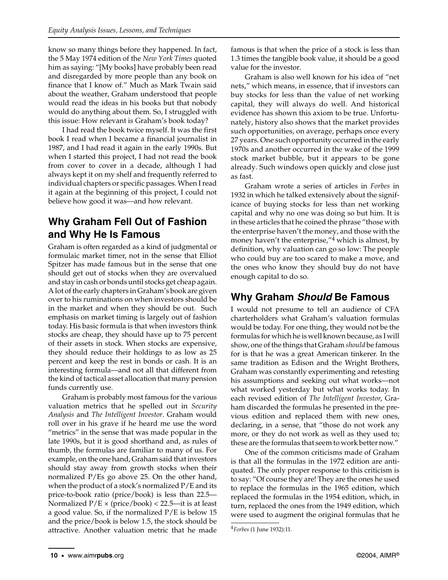know so many things before they happened. In fact, the 5 May 1974 edition of the *New York Times* quoted him as saying: "[My books] have probably been read and disregarded by more people than any book on finance that I know of." Much as Mark Twain said about the weather, Graham understood that people would read the ideas in his books but that nobody would do anything about them. So, I struggled with this issue: How relevant is Graham's book today?

I had read the book twice myself. It was the first book I read when I became a financial journalist in 1987, and I had read it again in the early 1990s. But when I started this project, I had not read the book from cover to cover in a decade, although I had always kept it on my shelf and frequently referred to individual chapters or specific passages. When I read it again at the beginning of this project, I could not believe how good it was—and how relevant.

#### **Why Graham Fell Out of Fashion and Why He Is Famous**

Graham is often regarded as a kind of judgmental or formulaic market timer, not in the sense that Elliot Spitzer has made famous but in the sense that one should get out of stocks when they are overvalued and stay in cash or bonds until stocks get cheap again. A lot of the early chapters in Graham's book are given over to his ruminations on when investors should be in the market and when they should be out. Such emphasis on market timing is largely out of fashion today. His basic formula is that when investors think stocks are cheap, they should have up to 75 percent of their assets in stock. When stocks are expensive, they should reduce their holdings to as low as 25 percent and keep the rest in bonds or cash. It is an interesting formula—and not all that different from the kind of tactical asset allocation that many pension funds currently use.

Graham is probably most famous for the various valuation metrics that he spelled out in *Security Analysis* and *The Intelligent Investor*. Graham would roll over in his grave if he heard me use the word "metrics" in the sense that was made popular in the late 1990s, but it is good shorthand and, as rules of thumb, the formulas are familiar to many of us. For example, on the one hand, Graham said that investors should stay away from growth stocks when their normalized P/Es go above 25. On the other hand, when the product of a stock's normalized  $P/E$  and its price-to-book ratio (price/book) is less than 22.5— Normalized  $P/E \times$  (price/book) < 22.5—it is at least a good value. So, if the normalized P/E is below 15 and the price/book is below 1.5, the stock should be attractive. Another valuation metric that he made famous is that when the price of a stock is less than 1.3 times the tangible book value, it should be a good value for the investor.

Graham is also well known for his idea of "net nets," which means, in essence, that if investors can buy stocks for less than the value of net working capital, they will always do well. And historical evidence has shown this axiom to be true. Unfortunately, history also shows that the market provides such opportunities, on average, perhaps once every 27 years. One such opportunity occurred in the early 1970s and another occurred in the wake of the 1999 stock market bubble, but it appears to be gone already. Such windows open quickly and close just as fast.

Graham wrote a series of articles in *Forbes* in 1932 in which he talked extensively about the significance of buying stocks for less than net working capital and why no one was doing so but him. It is in these articles that he coined the phrase "those with the enterprise haven't the money, and those with the money haven't the enterprise,"<sup>4</sup> which is almost, by definition, why valuation can go so low: The people who could buy are too scared to make a move, and the ones who know they should buy do not have enough capital to do so.

#### **Why Graham Should Be Famous**

I would not presume to tell an audience of CFA charterholders what Graham's valuation formulas would be today. For one thing, they would not be the formulas for which he is well known because, as I will show, one of the things that Graham *should* be famous for is that he was a great American tinkerer. In the same tradition as Edison and the Wright Brothers, Graham was constantly experimenting and retesting his assumptions and seeking out what works—not what worked yesterday but what works today. In each revised edition of *The Intelligent Investor*, Graham discarded the formulas he presented in the previous edition and replaced them with new ones, declaring, in a sense, that "those do not work any more, or they do not work as well as they used to; these are the formulas that seem to work better now."

One of the common criticisms made of Graham is that all the formulas in the 1972 edition are antiquated. The only proper response to this criticism is to say: "Of course they are! They are the ones he used to replace the formulas in the 1965 edition, which replaced the formulas in the 1954 edition, which, in turn, replaced the ones from the 1949 edition, which were used to augment the original formulas that he

<sup>4</sup>*Forbes* (1 June 1932):11.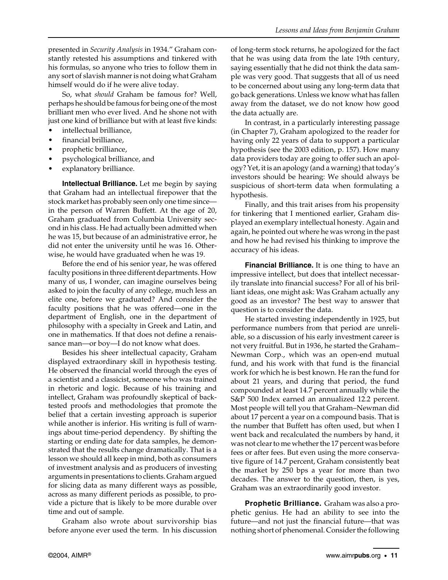presented in *Security Analysis* in 1934." Graham constantly retested his assumptions and tinkered with his formulas, so anyone who tries to follow them in any sort of slavish manner is not doing what Graham himself would do if he were alive today.

So, what *should* Graham be famous for? Well, perhaps he should be famous for being one of the most brilliant men who ever lived. And he shone not with just one kind of brilliance but with at least five kinds:

- intellectual brilliance,
- financial brilliance,
- prophetic brilliance,
- psychological brilliance, and
- explanatory brilliance.

**Intellectual Brilliance.** Let me begin by saying that Graham had an intellectual firepower that the stock market has probably seen only one time since in the person of Warren Buffett. At the age of 20, Graham graduated from Columbia University second in his class. He had actually been admitted when he was 15, but because of an administrative error, he did not enter the university until he was 16. Otherwise, he would have graduated when he was 19.

Before the end of his senior year, he was offered faculty positions in three different departments. How many of us, I wonder, can imagine ourselves being asked to join the faculty of any college, much less an elite one, before we graduated? And consider the faculty positions that he was offered—one in the department of English, one in the department of philosophy with a specialty in Greek and Latin, and one in mathematics. If that does not define a renaissance man—or boy—I do not know what does.

Besides his sheer intellectual capacity, Graham displayed extraordinary skill in hypothesis testing. He observed the financial world through the eyes of a scientist and a classicist, someone who was trained in rhetoric and logic. Because of his training and intellect, Graham was profoundly skeptical of backtested proofs and methodologies that promote the belief that a certain investing approach is superior while another is inferior. His writing is full of warnings about time-period dependency. By shifting the starting or ending date for data samples, he demonstrated that the results change dramatically. That is a lesson we should all keep in mind, both as consumers of investment analysis and as producers of investing arguments in presentations to clients. Graham argued for slicing data as many different ways as possible, across as many different periods as possible, to provide a picture that is likely to be more durable over time and out of sample.

Graham also wrote about survivorship bias before anyone ever used the term. In his discussion of long-term stock returns, he apologized for the fact that he was using data from the late 19th century, saying essentially that he did not think the data sample was very good. That suggests that all of us need to be concerned about using any long-term data that go back generations. Unless we know what has fallen away from the dataset, we do not know how good the data actually are.

In contrast, in a particularly interesting passage (in Chapter 7), Graham apologized to the reader for having only 22 years of data to support a particular hypothesis (see the 2003 edition, p. 157). How many data providers today are going to offer such an apology? Yet, it is an apology (and a warning) that today's investors should be hearing: We should always be suspicious of short-term data when formulating a hypothesis.

Finally, and this trait arises from his propensity for tinkering that I mentioned earlier, Graham displayed an exemplary intellectual honesty. Again and again, he pointed out where he was wrong in the past and how he had revised his thinking to improve the accuracy of his ideas.

**Financial Brilliance.** It is one thing to have an impressive intellect, but does that intellect necessarily translate into financial success? For all of his brilliant ideas, one might ask: Was Graham actually any good as an investor? The best way to answer that question is to consider the data.

He started investing independently in 1925, but performance numbers from that period are unreliable, so a discussion of his early investment career is not very fruitful. But in 1936, he started the Graham– Newman Corp., which was an open-end mutual fund, and his work with that fund is the financial work for which he is best known. He ran the fund for about 21 years, and during that period, the fund compounded at least 14.7 percent annually while the S&P 500 Index earned an annualized 12.2 percent. Most people will tell you that Graham–Newman did about 17 percent a year on a compound basis. That is the number that Buffett has often used, but when I went back and recalculated the numbers by hand, it was not clear to me whether the 17 percent was before fees or after fees. But even using the more conservative figure of 14.7 percent, Graham consistently beat the market by 250 bps a year for more than two decades. The answer to the question, then, is yes, Graham was an extraordinarily good investor.

**Prophetic Brilliance.** Graham was also a prophetic genius. He had an ability to see into the future—and not just the financial future—that was nothing short of phenomenal. Consider the following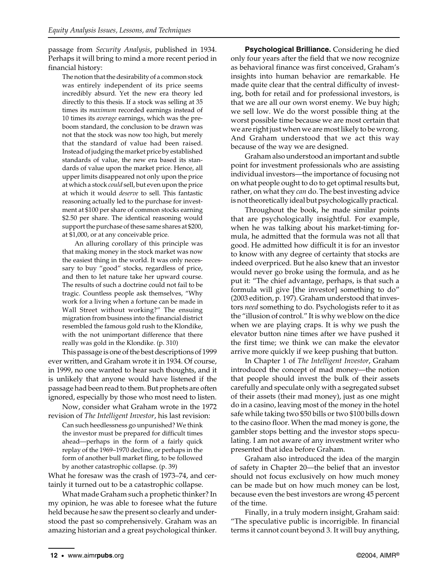passage from *Security Analysis*, published in 1934. Perhaps it will bring to mind a more recent period in financial history:

The notion that the desirability of a common stock was entirely independent of its price seems incredibly absurd. Yet the new era theory led directly to this thesis. If a stock was selling at 35 times its *maximum* recorded earnings instead of 10 times its *average* earnings, which was the preboom standard, the conclusion to be drawn was not that the stock was now too high, but merely that the standard of value had been raised. Instead of judging the market price by established standards of value, the new era based its standards of value upon the market price. Hence, all upper limits disappeared not only upon the price at which a stock *could* sell, but even upon the price at which it would *deserve* to sell. This fantastic reasoning actually led to the purchase for investment at \$100 per share of common stocks earning \$2.50 per share. The identical reasoning would support the purchase of these same shares at \$200, at \$1,000, or at any conceivable price.

An alluring corollary of this principle was that making money in the stock market was now the easiest thing in the world. It was only necessary to buy "good" stocks, regardless of price, and then to let nature take her upward course. The results of such a doctrine could not fail to be tragic. Countless people ask themselves, "Why work for a living when a fortune can be made in Wall Street without working?" The ensuing migration from business into the financial district resembled the famous gold rush to the Klondike, with the not unimportant difference that there really was gold in the Klondike. (p. 310)

This passage is one of the best descriptions of 1999 ever written, and Graham wrote it in 1934. Of course, in 1999, no one wanted to hear such thoughts, and it is unlikely that anyone would have listened if the passage had been read to them. But prophets are often ignored, especially by those who most need to listen.

Now, consider what Graham wrote in the 1972 revision of *The Intelligent Investor*, his last revision:

Can such heedlessness go unpunished? We think the investor must be prepared for difficult times ahead—perhaps in the form of a fairly quick replay of the 1969–1970 decline, or perhaps in the form of another bull market fling, to be followed by another catastrophic collapse. (p. 39)

What he foresaw was the crash of 1973–74, and certainly it turned out to be a catastrophic collapse.

What made Graham such a prophetic thinker? In my opinion, he was able to foresee what the future held because he saw the present so clearly and understood the past so comprehensively. Graham was an amazing historian and a great psychological thinker.

**Psychological Brilliance.** Considering he died only four years after the field that we now recognize as behavioral finance was first conceived, Graham's insights into human behavior are remarkable. He made quite clear that the central difficulty of investing, both for retail and for professional investors, is that we are all our own worst enemy. We buy high; we sell low. We do the worst possible thing at the worst possible time because we are most certain that we are right just when we are most likely to be wrong. And Graham understood that we act this way because of the way we are designed.

Graham also understood an important and subtle point for investment professionals who are assisting individual investors—the importance of focusing not on what people ought to do to get optimal results but, rather, on what they *can* do. The best investing advice is not theoretically ideal but psychologically practical.

Throughout the book, he made similar points that are psychologically insightful. For example, when he was talking about his market-timing formula, he admitted that the formula was not all that good. He admitted how difficult it is for an investor to know with any degree of certainty that stocks are indeed overpriced. But he also knew that an investor would never go broke using the formula, and as he put it: "The chief advantage, perhaps, is that such a formula will give [the investor] something to do" (2003 edition, p. 197). Graham understood that investors *need* something to do. Psychologists refer to it as the "illusion of control." It is why we blow on the dice when we are playing craps. It is why we push the elevator button nine times after we have pushed it the first time; we think we can make the elevator arrive more quickly if we keep pushing that button.

In Chapter 1 of *The Intelligent Investor*, Graham introduced the concept of mad money—the notion that people should invest the bulk of their assets carefully and speculate only with a segregated subset of their assets (their mad money), just as one might do in a casino, leaving most of the money in the hotel safe while taking two \$50 bills or two \$100 bills down to the casino floor. When the mad money is gone, the gambler stops betting and the investor stops speculating. I am not aware of any investment writer who presented that idea before Graham.

Graham also introduced the idea of the margin of safety in Chapter 20—the belief that an investor should not focus exclusively on how much money can be made but on how much money can be lost, because even the best investors are wrong 45 percent of the time.

Finally, in a truly modern insight, Graham said: "The speculative public is incorrigible. In financial terms it cannot count beyond 3. It will buy anything,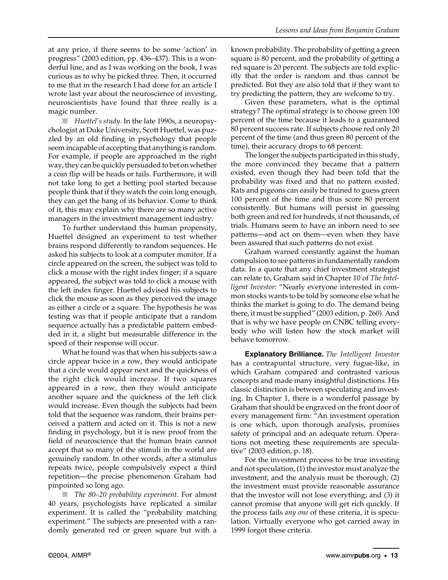at any price, if there seems to be some 'action' in progress" (2003 edition, pp. 436–437). This is a wonderful line, and as I was working on the book, I was curious as to why he picked three. Then, it occurred to me that in the research I had done for an article I wrote last year about the neuroscience of investing, neuroscientists have found that three really is a magic number.

■ *Huettel's study*. In the late 1990s, a neuropsychologist at Duke University, Scott Huettel, was puzzled by an old finding in psychology that people seem incapable of accepting that anything is random. For example, if people are approached in the right way, they can be quickly persuaded to bet on whether a coin flip will be heads or tails. Furthermore, it will not take long to get a betting pool started because people think that if they watch the coin long enough, they can get the hang of its behavior. Come to think of it, this may explain why there are so many active managers in the investment management industry.

To further understand this human propensity, Huettel designed an experiment to test whether brains respond differently to random sequences. He asked his subjects to look at a computer monitor. If a circle appeared on the screen, the subject was told to click a mouse with the right index finger; if a square appeared, the subject was told to click a mouse with the left index finger. Huettel advised his subjects to click the mouse as soon as they perceived the image as either a circle or a square. The hypothesis he was testing was that if people anticipate that a random sequence actually has a predictable pattern embedded in it, a slight but measurable difference in the speed of their response will occur.

What he found was that when his subjects saw a circle appear twice in a row, they would anticipate that a circle would appear next and the quickness of the right click would increase. If two squares appeared in a row, then they would anticipate another square and the quickness of the left click would increase. Even though the subjects had been told that the sequence was random, their brains perceived a pattern and acted on it. This is not a new finding in psychology, but it is new proof from the field of neuroscience that the human brain cannot accept that so many of the stimuli in the world are genuinely random. In other words, after a stimulus repeats twice, people compulsively expect a third repetition—the precise phenomenon Graham had pinpointed so long ago.

■ *The 80–20 probability experiment*. For almost 40 years, psychologists have replicated a similar experiment. It is called the "probability matching experiment." The subjects are presented with a randomly generated red or green square but with a known probability. The probability of getting a green square is 80 percent, and the probability of getting a red square is 20 percent. The subjects are told explicitly that the order is random and thus cannot be predicted. But they are also told that if they want to try predicting the pattern, they are welcome to try.

Given these parameters, what is the optimal strategy? The optimal strategy is to choose green 100 percent of the time because it leads to a guaranteed 80 percent success rate. If subjects choose red only 20 percent of the time (and thus green 80 percent of the time), their accuracy drops to 68 percent.

The longer the subjects participated in this study, the more convinced they became that a pattern existed, even though they had been told that the probability was fixed and that no pattern existed. Rats and pigeons can easily be trained to guess green 100 percent of the time and thus score 80 percent consistently. But humans will persist in guessing both green and red for hundreds, if not thousands, of trials. Humans seem to have an inborn need to see patterns—and act on them—even when they have been assured that such patterns do not exist.

Graham warned constantly against the human compulsion to see patterns in fundamentally random data. In a quote that any chief investment strategist can relate to, Graham said in Chapter 10 of *The Intelligent Investor*: "Nearly everyone interested in common stocks wants to be told by someone else what he thinks the market is going to do. The demand being there, it must be supplied" (2003 edition, p. 260). And that is why we have people on CNBC telling everybody who will listen how the stock market will behave tomorrow.

**Explanatory Brilliance.** *The Intelligent Investor* has a contrapuntal structure, very fugue-like, in which Graham compared and contrasted various concepts and made many insightful distinctions. His classic distinction is between speculating and investing. In Chapter 1, there is a wonderful passage by Graham that should be engraved on the front door of every management firm: "An investment operation is one which, upon thorough analysis, promises safety of principal and an adequate return. Operations not meeting these requirements are speculative" (2003 edition, p. 18).

For the investment process to be true investing and not speculation, (1) the investor must analyze the investment, and the analysis must be thorough; (2) the investment must provide reasonable assurance that the investor will not lose everything; and (3) it cannot promise that anyone will get rich quickly. If the process fails *any one* of these criteria, it is speculation. Virtually everyone who got carried away in 1999 forgot these criteria.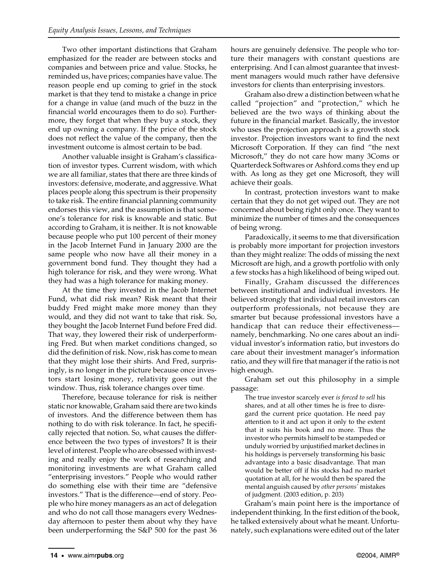Two other important distinctions that Graham emphasized for the reader are between stocks and companies and between price and value. Stocks, he reminded us, have prices; companies have value. The reason people end up coming to grief in the stock market is that they tend to mistake a change in price for a change in value (and much of the buzz in the financial world encourages them to do so). Furthermore, they forget that when they buy a stock, they end up owning a company. If the price of the stock does not reflect the value of the company, then the investment outcome is almost certain to be bad.

Another valuable insight is Graham's classification of investor types. Current wisdom, with which we are all familiar, states that there are three kinds of investors: defensive, moderate, and aggressive. What places people along this spectrum is their propensity to take risk. The entire financial planning community endorses this view, and the assumption is that someone's tolerance for risk is knowable and static. But according to Graham, it is neither. It is not knowable because people who put 100 percent of their money in the Jacob Internet Fund in January 2000 are the same people who now have all their money in a government bond fund. They thought they had a high tolerance for risk, and they were wrong. What they had was a high tolerance for making money.

At the time they invested in the Jacob Internet Fund, what did risk mean? Risk meant that their buddy Fred might make more money than they would, and they did not want to take that risk. So, they bought the Jacob Internet Fund before Fred did. That way, they lowered their risk of underperforming Fred. But when market conditions changed, so did the definition of risk. Now, risk has come to mean that they might lose their shirts. And Fred, surprisingly, is no longer in the picture because once investors start losing money, relativity goes out the window. Thus, risk tolerance changes over time.

Therefore, because tolerance for risk is neither static nor knowable, Graham said there are two kinds of investors. And the difference between them has nothing to do with risk tolerance. In fact, he specifically rejected that notion. So, what causes the difference between the two types of investors? It is their level of interest. People who are obsessed with investing and really enjoy the work of researching and monitoring investments are what Graham called "enterprising investors." People who would rather do something else with their time are "defensive investors." That is the difference—end of story. People who hire money managers as an act of delegation and who do not call those managers every Wednesday afternoon to pester them about why they have been underperforming the S&P 500 for the past 36 hours are genuinely defensive. The people who torture their managers with constant questions are enterprising. And I can almost guarantee that investment managers would much rather have defensive investors for clients than enterprising investors.

Graham also drew a distinction between what he called "projection" and "protection," which he believed are the two ways of thinking about the future in the financial market. Basically, the investor who uses the projection approach is a growth stock investor. Projection investors want to find the next Microsoft Corporation. If they can find "the next Microsoft," they do not care how many 3Coms or Quarterdeck Softwares or Ashford.coms they end up with. As long as they get one Microsoft, they will achieve their goals.

In contrast, protection investors want to make certain that they do not get wiped out. They are not concerned about being right only once. They want to minimize the number of times and the consequences of being wrong.

Paradoxically, it seems to me that diversification is probably more important for projection investors than they might realize: The odds of missing the next Microsoft are high, and a growth portfolio with only a few stocks has a high likelihood of being wiped out.

Finally, Graham discussed the differences between institutional and individual investors. He believed strongly that individual retail investors can outperform professionals, not because they are smarter but because professional investors have a handicap that can reduce their effectiveness namely, benchmarking. No one cares about an individual investor's information ratio, but investors do care about their investment manager's information ratio, and they will fire that manager if the ratio is not high enough.

Graham set out this philosophy in a simple passage:

The true investor scarcely ever *is forced to sell* his shares, and at all other times he is free to disregard the current price quotation. He need pay attention to it and act upon it only to the extent that it suits his book and no more. Thus the investor who permits himself to be stampeded or unduly worried by unjustified market declines in his holdings is perversely transforming his basic advantage into a basic disadvantage. That man would be better off if his stocks had no market quotation at all, for he would then be spared the mental anguish caused by *other persons'* mistakes of judgment. (2003 edition, p. 203)

Graham's main point here is the importance of independent thinking. In the first edition of the book, he talked extensively about what he meant. Unfortunately, such explanations were edited out of the later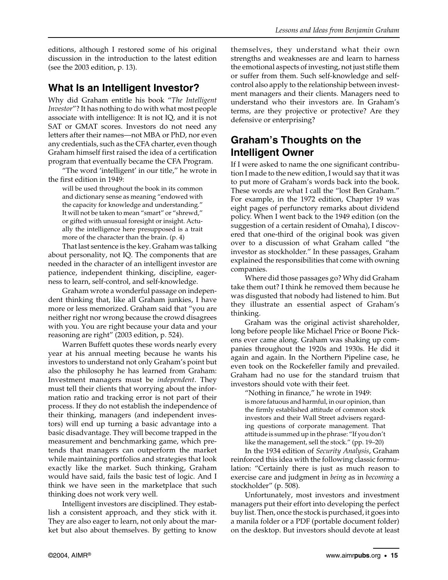editions, although I restored some of his original discussion in the introduction to the latest edition (see the 2003 edition, p. 13).

#### **What Is an Intelligent Investor?**

Why did Graham entitle his book "*The Intelligent Investor*"? It has nothing to do with what most people associate with intelligence: It is not IQ, and it is not SAT or GMAT scores. Investors do not need any letters after their names—not MBA or PhD, nor even any credentials, such as the CFA charter, even though Graham himself first raised the idea of a certification program that eventually became the CFA Program.

"The word 'intelligent' in our title," he wrote in the first edition in 1949:

will be used throughout the book in its common and dictionary sense as meaning "endowed with the capacity for knowledge and understanding." It will not be taken to mean "smart" or "shrewd," or gifted with unusual foresight or insight. Actually the intelligence here presupposed is a trait more of the character than the brain. (p. 4)

That last sentence is the key. Graham was talking about personality, not IQ. The components that are needed in the character of an intelligent investor are patience, independent thinking, discipline, eagerness to learn, self-control, and self-knowledge.

Graham wrote a wonderful passage on independent thinking that, like all Graham junkies, I have more or less memorized. Graham said that "you are neither right nor wrong because the crowd disagrees with you. You are right because your data and your reasoning are right" (2003 edition, p. 524).

Warren Buffett quotes these words nearly every year at his annual meeting because he wants his investors to understand not only Graham's point but also the philosophy he has learned from Graham: Investment managers must be *independent*. They must tell their clients that worrying about the information ratio and tracking error is not part of their process. If they do not establish the independence of their thinking, managers (and independent investors) will end up turning a basic advantage into a basic disadvantage. They will become trapped in the measurement and benchmarking game, which pretends that managers can outperform the market while maintaining portfolios and strategies that look exactly like the market. Such thinking, Graham would have said, fails the basic test of logic. And I think we have seen in the marketplace that such thinking does not work very well.

Intelligent investors are disciplined. They establish a consistent approach, and they stick with it. They are also eager to learn, not only about the market but also about themselves. By getting to know themselves, they understand what their own strengths and weaknesses are and learn to harness the emotional aspects of investing, not just stifle them or suffer from them. Such self-knowledge and selfcontrol also apply to the relationship between investment managers and their clients. Managers need to understand who their investors are. In Graham's terms, are they projective or protective? Are they defensive or enterprising?

### **Graham's Thoughts on the Intelligent Owner**

If I were asked to name the one significant contribution I made to the new edition, I would say that it was to put more of Graham's words back into the book. These words are what I call the "lost Ben Graham." For example, in the 1972 edition, Chapter 19 was eight pages of perfunctory remarks about dividend policy. When I went back to the 1949 edition (on the suggestion of a certain resident of Omaha), I discovered that one-third of the original book was given over to a discussion of what Graham called "the investor as stockholder." In these passages, Graham explained the responsibilities that come with owning companies.

Where did those passages go? Why did Graham take them out? I think he removed them because he was disgusted that nobody had listened to him. But they illustrate an essential aspect of Graham's thinking.

Graham was the original activist shareholder, long before people like Michael Price or Boone Pickens ever came along. Graham was shaking up companies throughout the 1920s and 1930s. He did it again and again. In the Northern Pipeline case, he even took on the Rockefeller family and prevailed. Graham had no use for the standard truism that investors should vote with their feet.

"Nothing in finance," he wrote in 1949: is more fatuous and harmful, in our opinion, than the firmly established attitude of common stock investors and their Wall Street advisers regarding questions of corporate management. That attitude is summed up in the phrase: "If you don't like the management, sell the stock." (pp. 19–20)

In the 1934 edition of *Security Analysis*, Graham reinforced this idea with the following classic formulation: "Certainly there is just as much reason to exercise care and judgment in *being* as in *becoming* a stockholder" (p. 508).

Unfortunately, most investors and investment managers put their effort into developing the perfect buy list. Then, once the stock is purchased, it goes into a manila folder or a PDF (portable document folder) on the desktop. But investors should devote at least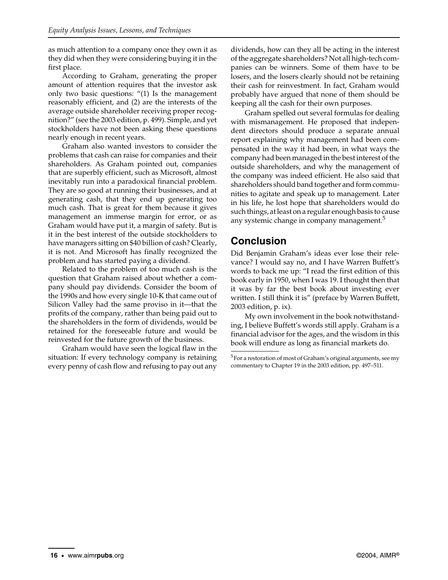as much attention to a company once they own it as they did when they were considering buying it in the first place.

According to Graham, generating the proper amount of attention requires that the investor ask only two basic questions: "(1) Is the management reasonably efficient, and (2) are the interests of the average outside shareholder receiving proper recognition?" (see the 2003 edition, p. 499). Simple, and yet stockholders have not been asking these questions nearly enough in recent years.

Graham also wanted investors to consider the problems that cash can raise for companies and their shareholders. As Graham pointed out, companies that are superbly efficient, such as Microsoft, almost inevitably run into a paradoxical financial problem. They are so good at running their businesses, and at generating cash, that they end up generating too much cash. That is great for them because it gives management an immense margin for error, or as Graham would have put it, a margin of safety. But is it in the best interest of the outside stockholders to have managers sitting on \$40 billion of cash? Clearly, it is not. And Microsoft has finally recognized the problem and has started paying a dividend.

Related to the problem of too much cash is the question that Graham raised about whether a company should pay dividends. Consider the boom of the 1990s and how every single 10-K that came out of Silicon Valley had the same proviso in it—that the profits of the company, rather than being paid out to the shareholders in the form of dividends, would be retained for the foreseeable future and would be reinvested for the future growth of the business.

Graham would have seen the logical flaw in the situation: If every technology company is retaining every penny of cash flow and refusing to pay out any dividends, how can they all be acting in the interest of the aggregate shareholders? Not all high-tech companies can be winners. Some of them have to be losers, and the losers clearly should not be retaining their cash for reinvestment. In fact, Graham would probably have argued that none of them should be keeping all the cash for their own purposes.

Graham spelled out several formulas for dealing with mismanagement. He proposed that independent directors should produce a separate annual report explaining why management had been compensated in the way it had been, in what ways the company had been managed in the best interest of the outside shareholders, and why the management of the company was indeed efficient. He also said that shareholders should band together and form communities to agitate and speak up to management. Later in his life, he lost hope that shareholders would do such things, at least on a regular enough basis to cause any systemic change in company management.<sup>5</sup>

#### **Conclusion**

Did Benjamin Graham's ideas ever lose their relevance? I would say no, and I have Warren Buffett's words to back me up: "I read the first edition of this book early in 1950, when I was 19. I thought then that it was by far the best book about investing ever written. I still think it is" (preface by Warren Buffett, 2003 edition, p. ix).

My own involvement in the book notwithstanding, I believe Buffett's words still apply. Graham is a financial advisor for the ages, and the wisdom in this book will endure as long as financial markets do.

<sup>5</sup>For a restoration of most of Graham's original arguments, see my commentary to Chapter 19 in the 2003 edition, pp. 497–511.